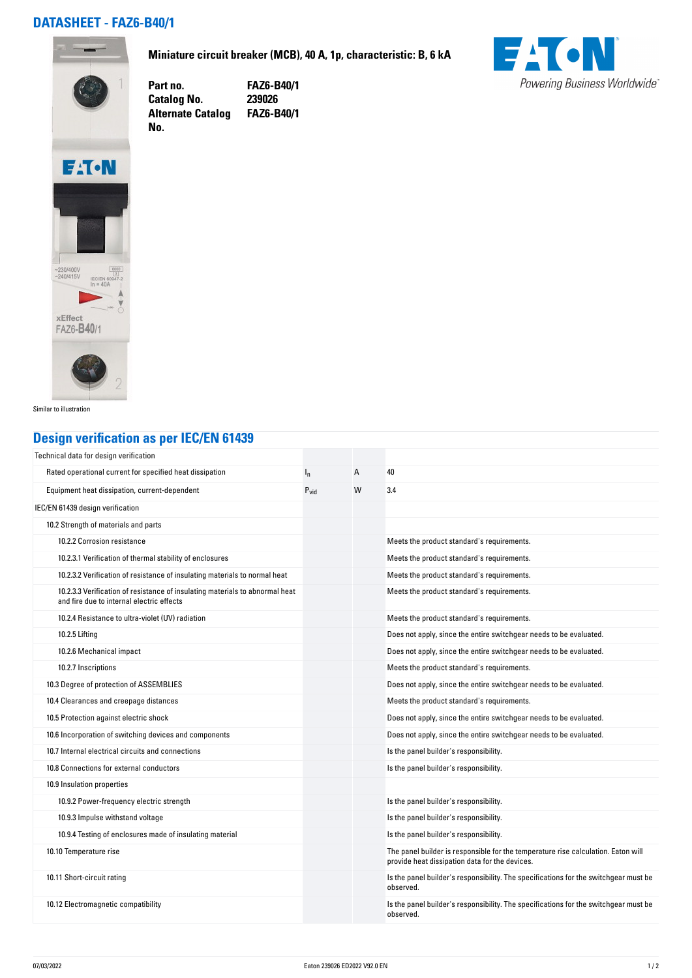## **DATASHEET - FAZ6-B40/1**



**No.** 

**Miniature circuit breaker (MCB), 40 A, 1p, characteristic: B, 6 kA**

**Part no. FAZ6-B40/1 Catalog No. 239026 Alternate Catalog FAZ6-B40/1**





Similar to illustration

## **Design verification as per IEC/EN 61439**

| Technical data for design verification                                                                                    |                  |   |                                                                                                                                     |
|---------------------------------------------------------------------------------------------------------------------------|------------------|---|-------------------------------------------------------------------------------------------------------------------------------------|
| Rated operational current for specified heat dissipation                                                                  | $I_{n}$          | A | 40                                                                                                                                  |
| Equipment heat dissipation, current-dependent                                                                             | $P_{\text{vid}}$ | W | 3.4                                                                                                                                 |
| IEC/EN 61439 design verification                                                                                          |                  |   |                                                                                                                                     |
| 10.2 Strength of materials and parts                                                                                      |                  |   |                                                                                                                                     |
| 10.2.2 Corrosion resistance                                                                                               |                  |   | Meets the product standard's requirements.                                                                                          |
| 10.2.3.1 Verification of thermal stability of enclosures                                                                  |                  |   | Meets the product standard's requirements.                                                                                          |
| 10.2.3.2 Verification of resistance of insulating materials to normal heat                                                |                  |   | Meets the product standard's requirements.                                                                                          |
| 10.2.3.3 Verification of resistance of insulating materials to abnormal heat<br>and fire due to internal electric effects |                  |   | Meets the product standard's requirements.                                                                                          |
| 10.2.4 Resistance to ultra-violet (UV) radiation                                                                          |                  |   | Meets the product standard's requirements.                                                                                          |
| 10.2.5 Lifting                                                                                                            |                  |   | Does not apply, since the entire switchgear needs to be evaluated.                                                                  |
| 10.2.6 Mechanical impact                                                                                                  |                  |   | Does not apply, since the entire switchgear needs to be evaluated.                                                                  |
| 10.2.7 Inscriptions                                                                                                       |                  |   | Meets the product standard's requirements.                                                                                          |
| 10.3 Degree of protection of ASSEMBLIES                                                                                   |                  |   | Does not apply, since the entire switchgear needs to be evaluated.                                                                  |
| 10.4 Clearances and creepage distances                                                                                    |                  |   | Meets the product standard's requirements.                                                                                          |
| 10.5 Protection against electric shock                                                                                    |                  |   | Does not apply, since the entire switchgear needs to be evaluated.                                                                  |
| 10.6 Incorporation of switching devices and components                                                                    |                  |   | Does not apply, since the entire switchgear needs to be evaluated.                                                                  |
| 10.7 Internal electrical circuits and connections                                                                         |                  |   | Is the panel builder's responsibility.                                                                                              |
| 10.8 Connections for external conductors                                                                                  |                  |   | Is the panel builder's responsibility.                                                                                              |
| 10.9 Insulation properties                                                                                                |                  |   |                                                                                                                                     |
| 10.9.2 Power-frequency electric strength                                                                                  |                  |   | Is the panel builder's responsibility.                                                                                              |
| 10.9.3 Impulse withstand voltage                                                                                          |                  |   | Is the panel builder's responsibility.                                                                                              |
| 10.9.4 Testing of enclosures made of insulating material                                                                  |                  |   | Is the panel builder's responsibility.                                                                                              |
| 10.10 Temperature rise                                                                                                    |                  |   | The panel builder is responsible for the temperature rise calculation. Eaton will<br>provide heat dissipation data for the devices. |
| 10.11 Short-circuit rating                                                                                                |                  |   | Is the panel builder's responsibility. The specifications for the switchgear must be<br>observed.                                   |
| 10.12 Electromagnetic compatibility                                                                                       |                  |   | Is the panel builder's responsibility. The specifications for the switchgear must be<br>observed.                                   |